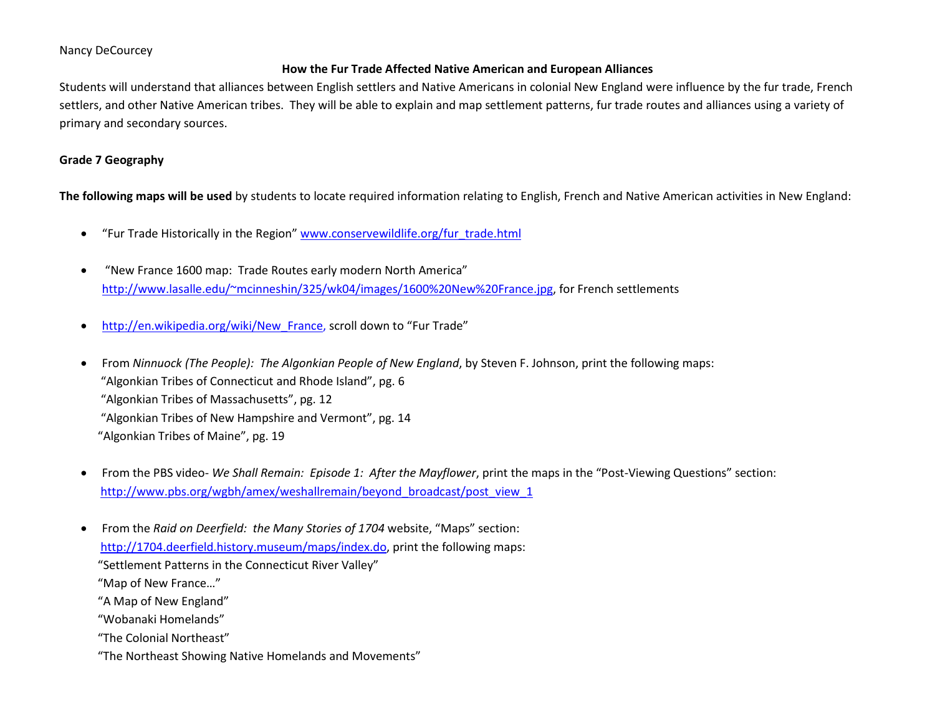# Nancy DeCourcey

# **How the Fur Trade Affected Native American and European Alliances**

Students will understand that alliances between English settlers and Native Americans in colonial New England were influence by the fur trade, French settlers, and other Native American tribes. They will be able to explain and map settlement patterns, fur trade routes and alliances using a variety of primary and secondary sources.

# **Grade 7 Geography**

**The following maps will be used** by students to locate required information relating to English, French and Native American activities in New England:

- "Fur Trade Historically in the Region" [www.conservewildlife.org/fur\\_trade.html](http://www.conservewildlife.org/fur_trade.html)
- "New France 1600 map: Trade Routes early modern North America" [http://www.lasalle.edu/~mcinneshin/325/wk04/images/1600%20New%20France.jpg,](http://www.lasalle.edu/~mcinneshin/325/wk04/images/1600%20New%20France.jpg) for French settlements
- [http://en.wikipedia.org/wiki/New\\_France,](http://en.wikipedia.org/wiki/New_France) scroll down to "Fur Trade"
- From *Ninnuock (The People): The Algonkian People of New England*, by Steven F. Johnson, print the following maps: "Algonkian Tribes of Connecticut and Rhode Island", pg. 6 "Algonkian Tribes of Massachusetts", pg. 12 "Algonkian Tribes of New Hampshire and Vermont", pg. 14 "Algonkian Tribes of Maine", pg. 19
- From the PBS video- *We Shall Remain: Episode 1: After the Mayflower*, print the maps in the "Post-Viewing Questions" section: [http://www.pbs.org/wgbh/amex/weshallremain/beyond\\_broadcast/post\\_view\\_1](http://www.pbs.org/wgbh/amex/weshallremain/beyond_broadcast/post_view_1)
- From the *Raid on Deerfield: the Many Stories of 1704* website, "Maps" section: [http://1704.deerfield.history.museum/maps/index.do,](http://1704.deerfield.history.museum/maps/index.do) print the following maps: "Settlement Patterns in the Connecticut River Valley" "Map of New France…" "A Map of New England" "Wobanaki Homelands" "The Colonial Northeast" "The Northeast Showing Native Homelands and Movements"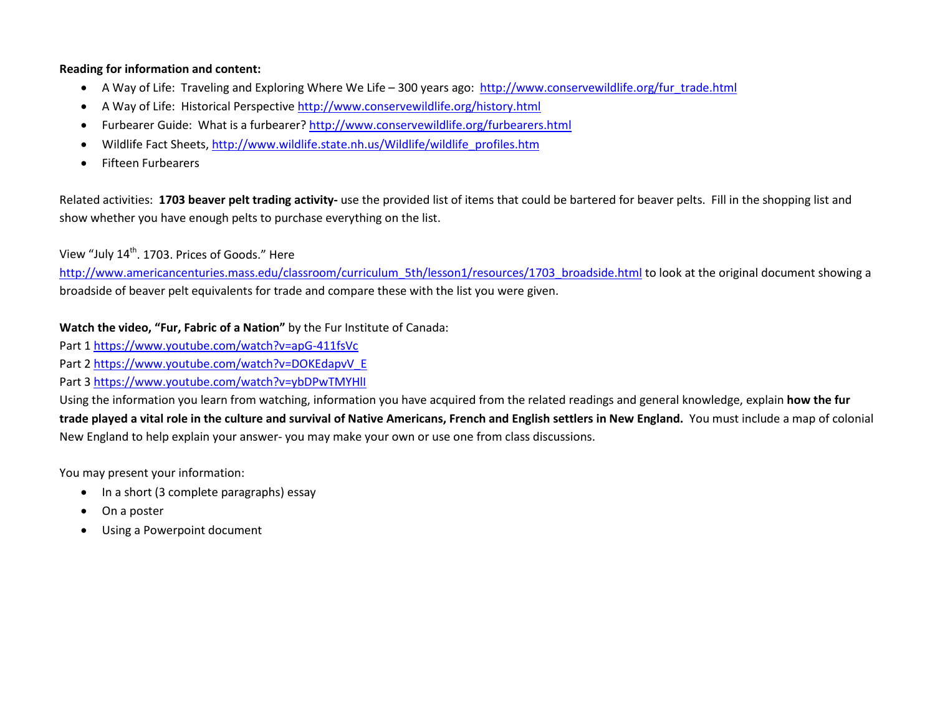# **Reading for information and content:**

- A Way of Life: Traveling and Exploring Where We Life 300 years ago: [http://www.conservewildlife.org/fur\\_trade.html](http://www.conservewildlife.org/fur_trade.html)
- A Way of Life: Historical Perspective<http://www.conservewildlife.org/history.html>
- Furbearer Guide: What is a furbearer?<http://www.conservewildlife.org/furbearers.html>
- Wildlife Fact Sheets[, http://www.wildlife.state.nh.us/Wildlife/wildlife\\_profiles.htm](http://www.wildlife.state.nh.us/Wildlife/wildlife_profiles.htm)
- Fifteen Furbearers

Related activities: **1703 beaver pelt trading activity-** use the provided list of items that could be bartered for beaver pelts. Fill in the shopping list and show whether you have enough pelts to purchase everything on the list.

View "July 14<sup>th</sup>. 1703. Prices of Goods." Here

[http://www.americancenturies.mass.edu/classroom/curriculum\\_5th/lesson1/resources/1703\\_broadside.html](http://www.americancenturies.mass.edu/classroom/curriculum_5th/lesson1/resources/1703_broadside.html) to look at the original document showing a broadside of beaver pelt equivalents for trade and compare these with the list you were given.

**Watch the video, "Fur, Fabric of a Nation"** by the Fur Institute of Canada:

Part 1<https://www.youtube.com/watch?v=apG-411fsVc>

Part 2 [https://www.youtube.com/watch?v=DOKEdapvV\\_E](https://www.youtube.com/watch?v=DOKEdapvV_E)

Part 3<https://www.youtube.com/watch?v=ybDPwTMYHlI>

Using the information you learn from watching, information you have acquired from the related readings and general knowledge, explain **how the fur trade played a vital role in the culture and survival of Native Americans, French and English settlers in New England.** You must include a map of colonial New England to help explain your answer- you may make your own or use one from class discussions.

You may present your information:

- In a short (3 complete paragraphs) essay
- On a poster
- Using a Powerpoint document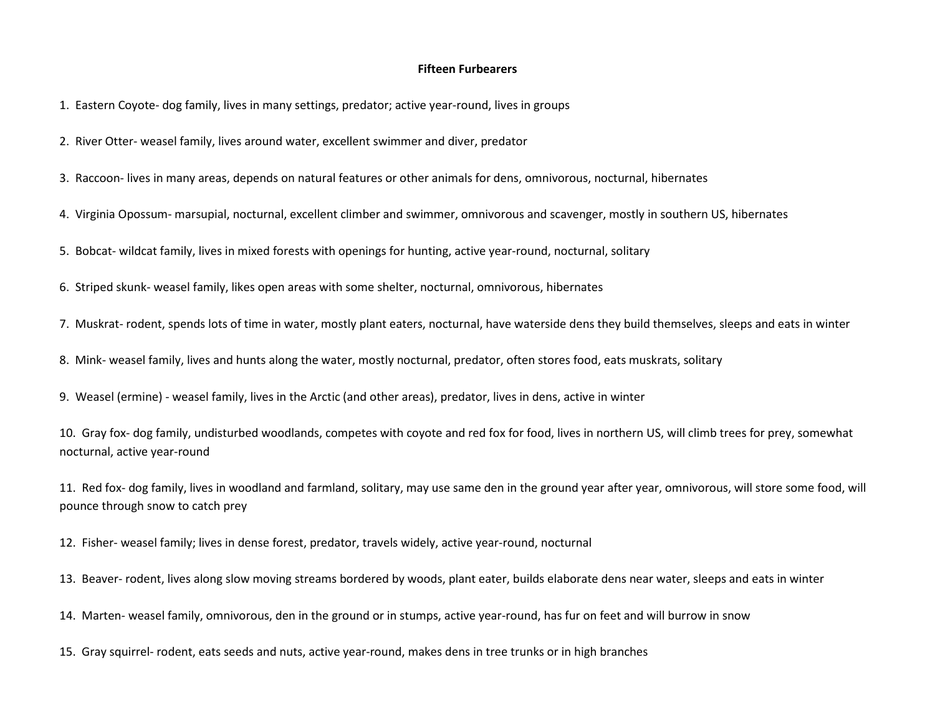#### **Fifteen Furbearers**

1. Eastern Coyote- dog family, lives in many settings, predator; active year-round, lives in groups

2. River Otter- weasel family, lives around water, excellent swimmer and diver, predator

3. Raccoon- lives in many areas, depends on natural features or other animals for dens, omnivorous, nocturnal, hibernates

4. Virginia Opossum- marsupial, nocturnal, excellent climber and swimmer, omnivorous and scavenger, mostly in southern US, hibernates

5. Bobcat- wildcat family, lives in mixed forests with openings for hunting, active year-round, nocturnal, solitary

6. Striped skunk- weasel family, likes open areas with some shelter, nocturnal, omnivorous, hibernates

7. Muskrat- rodent, spends lots of time in water, mostly plant eaters, nocturnal, have waterside dens they build themselves, sleeps and eats in winter

8. Mink- weasel family, lives and hunts along the water, mostly nocturnal, predator, often stores food, eats muskrats, solitary

9. Weasel (ermine) - weasel family, lives in the Arctic (and other areas), predator, lives in dens, active in winter

10. Gray fox- dog family, undisturbed woodlands, competes with coyote and red fox for food, lives in northern US, will climb trees for prey, somewhat nocturnal, active year-round

11. Red fox- dog family, lives in woodland and farmland, solitary, may use same den in the ground year after year, omnivorous, will store some food, will pounce through snow to catch prey

12. Fisher- weasel family; lives in dense forest, predator, travels widely, active year-round, nocturnal

13. Beaver- rodent, lives along slow moving streams bordered by woods, plant eater, builds elaborate dens near water, sleeps and eats in winter

14. Marten- weasel family, omnivorous, den in the ground or in stumps, active year-round, has fur on feet and will burrow in snow

15. Gray squirrel- rodent, eats seeds and nuts, active year-round, makes dens in tree trunks or in high branches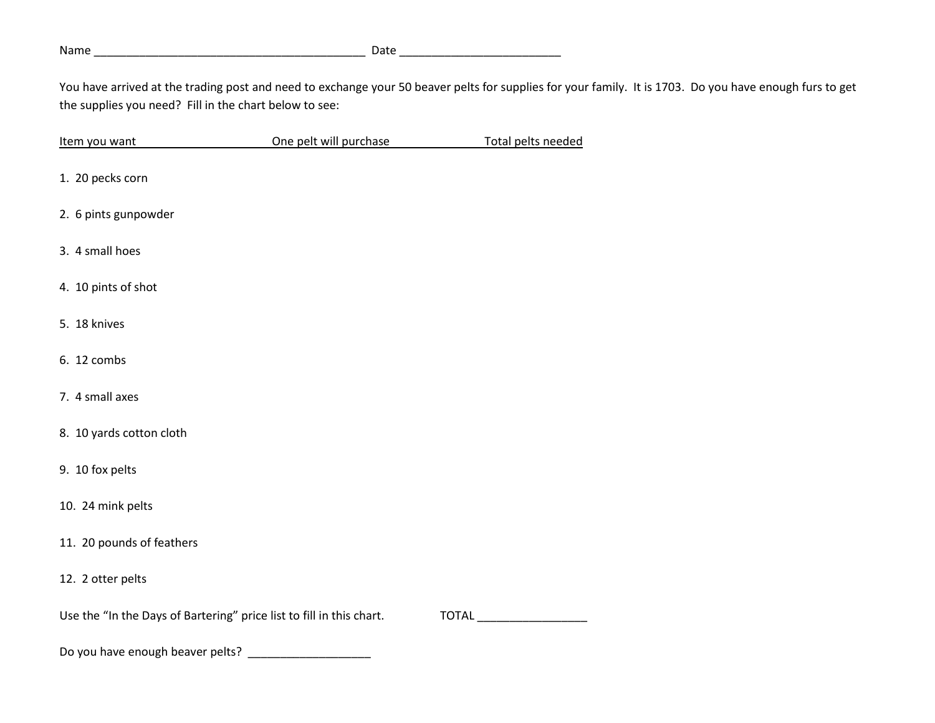# Name \_\_\_\_\_\_\_\_\_\_\_\_\_\_\_\_\_\_\_\_\_\_\_\_\_\_\_\_\_\_\_\_\_\_\_\_\_\_\_\_\_\_ Date \_\_\_\_\_\_\_\_\_\_\_\_\_\_\_\_\_\_\_\_\_\_\_\_\_

You have arrived at the trading post and need to exchange your 50 beaver pelts for supplies for your family. It is 1703. Do you have enough furs to get the supplies you need? Fill in the chart below to see:

| Item you want                                                        | One pelt will purchase | Total pelts needed |  |
|----------------------------------------------------------------------|------------------------|--------------------|--|
| 1. 20 pecks corn                                                     |                        |                    |  |
| 2. 6 pints gunpowder                                                 |                        |                    |  |
| 3. 4 small hoes                                                      |                        |                    |  |
| 4. 10 pints of shot                                                  |                        |                    |  |
| 5. 18 knives                                                         |                        |                    |  |
| 6. 12 combs                                                          |                        |                    |  |
| 7. 4 small axes                                                      |                        |                    |  |
| 8. 10 yards cotton cloth                                             |                        |                    |  |
| 9. 10 fox pelts                                                      |                        |                    |  |
| 10. 24 mink pelts                                                    |                        |                    |  |
| 11. 20 pounds of feathers                                            |                        |                    |  |
| 12. 2 otter pelts                                                    |                        |                    |  |
| Use the "In the Days of Bartering" price list to fill in this chart. |                        |                    |  |
| Do vou have anough heaver notte?                                     |                        |                    |  |

Do you have enough beaver pelts? \_\_\_\_\_\_\_\_\_\_\_\_\_\_\_\_\_\_\_\_\_\_\_